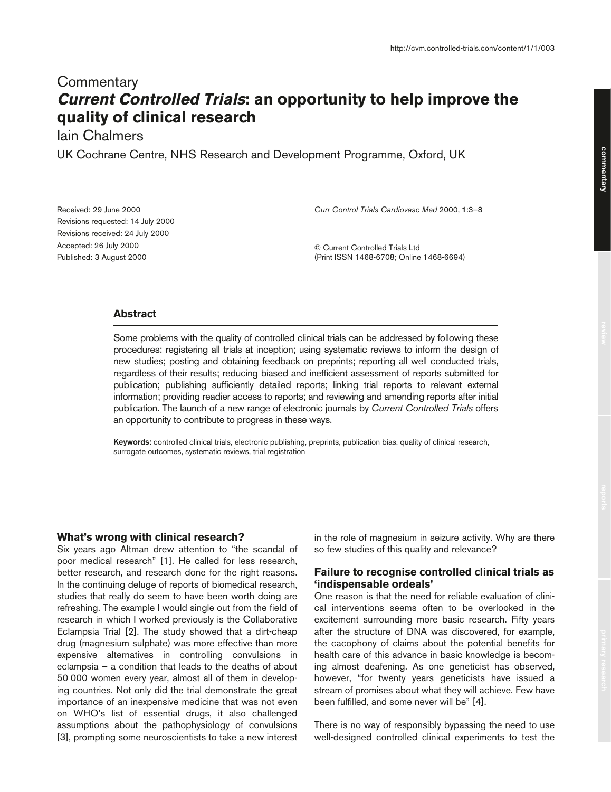# **Commentary Current Controlled Trials: an opportunity to help improve the quality of clinical research**

Iain Chalmers

UK Cochrane Centre, NHS Research and Development Programme, Oxford, UK

Received: 29 June 2000 Revisions requested: 14 July 2000 Revisions received: 24 July 2000 Accepted: 26 July 2000 Published: 3 August 2000

*Curr Control Trials Cardiovasc Med* 2000, **1**:3–8

© Current Controlled Trials Ltd (Print ISSN 1468-6708; Online 1468-6694)

### **Abstract**

Some problems with the quality of controlled clinical trials can be addressed by following these procedures: registering all trials at inception; using systematic reviews to inform the design of new studies; posting and obtaining feedback on preprints; reporting all well conducted trials, regardless of their results; reducing biased and inefficient assessment of reports submitted for publication; publishing sufficiently detailed reports; linking trial reports to relevant external information; providing readier access to reports; and reviewing and amending reports after initial publication. The launch of a new range of electronic journals by *Current Controlled Trials* offers an opportunity to contribute to progress in these ways.

**Keywords:** controlled clinical trials, electronic publishing, preprints, publication bias, quality of clinical research, surrogate outcomes, systematic reviews, trial registration

#### **What's wrong with clinical research?**

Six years ago Altman drew attention to "the scandal of poor medical research" [1]. He called for less research, better research, and research done for the right reasons. In the continuing deluge of reports of biomedical research, studies that really do seem to have been worth doing are refreshing. The example I would single out from the field of research in which I worked previously is the Collaborative Eclampsia Trial [2]. The study showed that a dirt-cheap drug (magnesium sulphate) was more effective than more expensive alternatives in controlling convulsions in eclampsia — a condition that leads to the deaths of about 50 000 women every year, almost all of them in developing countries. Not only did the trial demonstrate the great importance of an inexpensive medicine that was not even on WHO's list of essential drugs, it also challenged assumptions about the pathophysiology of convulsions [3], prompting some neuroscientists to take a new interest in the role of magnesium in seizure activity. Why are there so few studies of this quality and relevance?

### **Failure to recognise controlled clinical trials as 'indispensable ordeals'**

One reason is that the need for reliable evaluation of clinical interventions seems often to be overlooked in the excitement surrounding more basic research. Fifty years after the structure of DNA was discovered, for example, the cacophony of claims about the potential benefits for health care of this advance in basic knowledge is becoming almost deafening. As one geneticist has observed, however, "for twenty years geneticists have issued a stream of promises about what they will achieve. Few have been fulfilled, and some never will be" [4].

There is no way of responsibly bypassing the need to use well-designed controlled clinical experiments to test the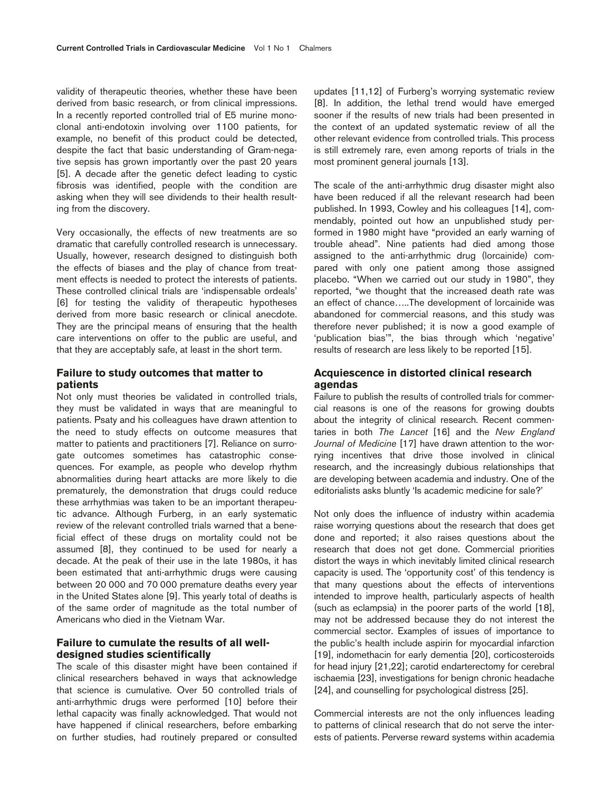validity of therapeutic theories, whether these have been derived from basic research, or from clinical impressions. In a recently reported controlled trial of E5 murine monoclonal anti-endotoxin involving over 1100 patients, for example, no benefit of this product could be detected, despite the fact that basic understanding of Gram-negative sepsis has grown importantly over the past 20 years [5]. A decade after the genetic defect leading to cystic fibrosis was identified, people with the condition are asking when they will see dividends to their health resulting from the discovery.

Very occasionally, the effects of new treatments are so dramatic that carefully controlled research is unnecessary. Usually, however, research designed to distinguish both the effects of biases and the play of chance from treatment effects is needed to protect the interests of patients. These controlled clinical trials are 'indispensable ordeals' [6] for testing the validity of therapeutic hypotheses derived from more basic research or clinical anecdote. They are the principal means of ensuring that the health care interventions on offer to the public are useful, and that they are acceptably safe, at least in the short term.

#### **Failure to study outcomes that matter to patients**

Not only must theories be validated in controlled trials, they must be validated in ways that are meaningful to patients. Psaty and his colleagues have drawn attention to the need to study effects on outcome measures that matter to patients and practitioners [7]. Reliance on surrogate outcomes sometimes has catastrophic consequences. For example, as people who develop rhythm abnormalities during heart attacks are more likely to die prematurely, the demonstration that drugs could reduce these arrhythmias was taken to be an important therapeutic advance. Although Furberg, in an early systematic review of the relevant controlled trials warned that a beneficial effect of these drugs on mortality could not be assumed [8], they continued to be used for nearly a decade. At the peak of their use in the late 1980s, it has been estimated that anti-arrhythmic drugs were causing between 20 000 and 70 000 premature deaths every year in the United States alone [9]. This yearly total of deaths is of the same order of magnitude as the total number of Americans who died in the Vietnam War.

## **Failure to cumulate the results of all welldesigned studies scientifically**

The scale of this disaster might have been contained if clinical researchers behaved in ways that acknowledge that science is cumulative. Over 50 controlled trials of anti-arrhythmic drugs were performed [10] before their lethal capacity was finally acknowledged. That would not have happened if clinical researchers, before embarking on further studies, had routinely prepared or consulted

updates [11,12] of Furberg's worrying systematic review [8]. In addition, the lethal trend would have emerged sooner if the results of new trials had been presented in the context of an updated systematic review of all the other relevant evidence from controlled trials. This process is still extremely rare, even among reports of trials in the most prominent general journals [13].

The scale of the anti-arrhythmic drug disaster might also have been reduced if all the relevant research had been published. In 1993, Cowley and his colleagues [14], commendably, pointed out how an unpublished study performed in 1980 might have "provided an early warning of trouble ahead". Nine patients had died among those assigned to the anti-arrhythmic drug (lorcainide) compared with only one patient among those assigned placebo. "When we carried out our study in 1980", they reported, "we thought that the increased death rate was an effect of chance…..The development of lorcainide was abandoned for commercial reasons, and this study was therefore never published; it is now a good example of 'publication bias'", the bias through which 'negative' results of research are less likely to be reported [15].

## **Acquiescence in distorted clinical research agendas**

Failure to publish the results of controlled trials for commercial reasons is one of the reasons for growing doubts about the integrity of clinical research. Recent commentaries in both *The Lancet* [16] and the *New England Journal of Medicine* [17] have drawn attention to the worrying incentives that drive those involved in clinical research, and the increasingly dubious relationships that are developing between academia and industry. One of the editorialists asks bluntly 'Is academic medicine for sale?'

Not only does the influence of industry within academia raise worrying questions about the research that does get done and reported; it also raises questions about the research that does not get done. Commercial priorities distort the ways in which inevitably limited clinical research capacity is used. The 'opportunity cost' of this tendency is that many questions about the effects of interventions intended to improve health, particularly aspects of health (such as eclampsia) in the poorer parts of the world [18], may not be addressed because they do not interest the commercial sector. Examples of issues of importance to the public's health include aspirin for myocardial infarction [19], indomethacin for early dementia [20], corticosteroids for head injury [21,22]; carotid endarterectomy for cerebral ischaemia [23], investigations for benign chronic headache [24], and counselling for psychological distress [25].

Commercial interests are not the only influences leading to patterns of clinical research that do not serve the interests of patients. Perverse reward systems within academia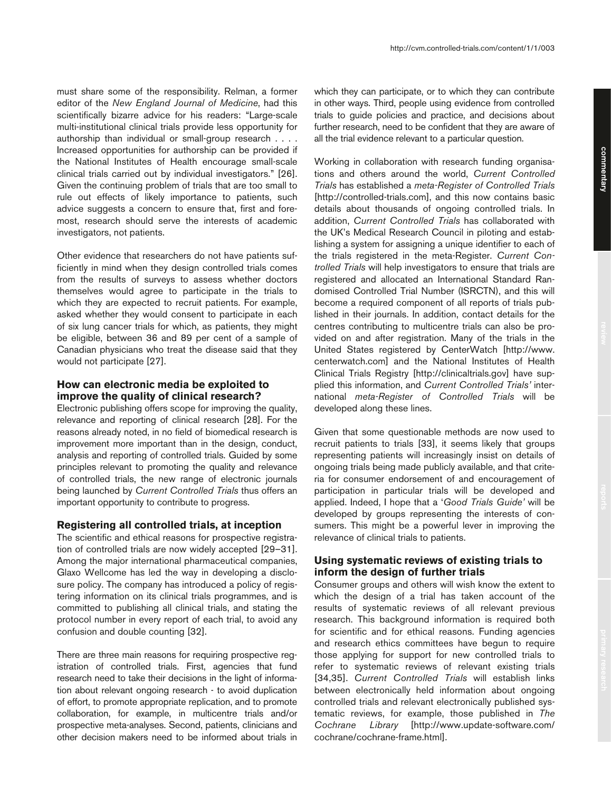must share some of the responsibility. Relman, a former editor of the *New England Journal of Medicine*, had this scientifically bizarre advice for his readers: "Large-scale multi-institutional clinical trials provide less opportunity for authorship than individual or small-group research . . . . Increased opportunities for authorship can be provided if the National Institutes of Health encourage small-scale clinical trials carried out by individual investigators." [26]. Given the continuing problem of trials that are too small to rule out effects of likely importance to patients, such advice suggests a concern to ensure that, first and foremost, research should serve the interests of academic investigators, not patients.

Other evidence that researchers do not have patients sufficiently in mind when they design controlled trials comes from the results of surveys to assess whether doctors themselves would agree to participate in the trials to which they are expected to recruit patients. For example, asked whether they would consent to participate in each of six lung cancer trials for which, as patients, they might be eligible, between 36 and 89 per cent of a sample of Canadian physicians who treat the disease said that they would not participate [27].

## **How can electronic media be exploited to improve the quality of clinical research?**

Electronic publishing offers scope for improving the quality, relevance and reporting of clinical research [28]. For the reasons already noted, in no field of biomedical research is improvement more important than in the design, conduct, analysis and reporting of controlled trials. Guided by some principles relevant to promoting the quality and relevance of controlled trials, the new range of electronic journals being launched by *Current Controlled Trials* thus offers an important opportunity to contribute to progress.

#### **Registering all controlled trials, at inception**

The scientific and ethical reasons for prospective registration of controlled trials are now widely accepted [29–31]. Among the major international pharmaceutical companies, Glaxo Wellcome has led the way in developing a disclosure policy. The company has introduced a policy of registering information on its clinical trials programmes, and is committed to publishing all clinical trials, and stating the protocol number in every report of each trial, to avoid any confusion and double counting [32].

There are three main reasons for requiring prospective registration of controlled trials. First, agencies that fund research need to take their decisions in the light of information about relevant ongoing research - to avoid duplication of effort, to promote appropriate replication, and to promote collaboration, for example, in multicentre trials and/or prospective meta-analyses. Second, patients, clinicians and other decision makers need to be informed about trials in

which they can participate, or to which they can contribute in other ways. Third, people using evidence from controlled trials to guide policies and practice, and decisions about further research, need to be confident that they are aware of all the trial evidence relevant to a particular question.

Working in collaboration with research funding organisations and others around the world, *Current Controlled Trials* has established a *meta-Register of Controlled Trials* [http://controlled-trials.com], and this now contains basic details about thousands of ongoing controlled trials. In addition, *Current Controlled Trials* has collaborated with the UK's Medical Research Council in piloting and establishing a system for assigning a unique identifier to each of the trials registered in the meta-Register. *Current Controlled Trials* will help investigators to ensure that trials are registered and allocated an International Standard Randomised Controlled Trial Number (ISRCTN), and this will become a required component of all reports of trials published in their journals. In addition, contact details for the centres contributing to multicentre trials can also be provided on and after registration. Many of the trials in the United States registered by CenterWatch [http://www. centerwatch.com] and the National Institutes of Health Clinical Trials Registry [http://clinicaltrials.gov] have supplied this information, and *Current Controlled Trials'* international *meta-Register of Controlled Trials* will be developed along these lines.

Given that some questionable methods are now used to recruit patients to trials [33], it seems likely that groups representing patients will increasingly insist on details of ongoing trials being made publicly available, and that criteria for consumer endorsement of and encouragement of participation in particular trials will be developed and applied. Indeed, I hope that a '*Good Trials Guide'* will be developed by groups representing the interests of consumers. This might be a powerful lever in improving the relevance of clinical trials to patients.

### **Using systematic reviews of existing trials to inform the design of further trials**

Consumer groups and others will wish know the extent to which the design of a trial has taken account of the results of systematic reviews of all relevant previous research. This background information is required both for scientific and for ethical reasons. Funding agencies and research ethics committees have begun to require those applying for support for new controlled trials to refer to systematic reviews of relevant existing trials [34,35]. *Current Controlled Trials* will establish links between electronically held information about ongoing controlled trials and relevant electronically published systematic reviews, for example, those published in *The Cochrane Library* [http://www.update-software.com/ cochrane/cochrane-frame.html].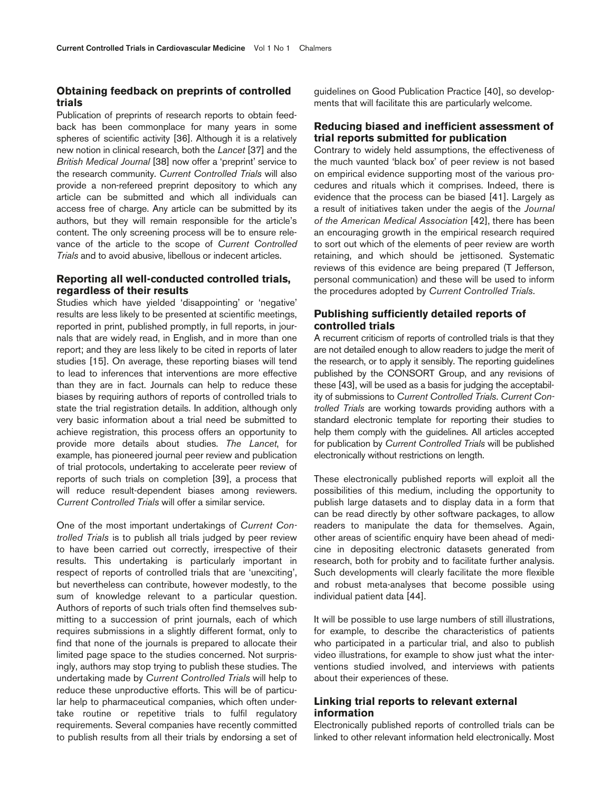#### **Obtaining feedback on preprints of controlled trials**

Publication of preprints of research reports to obtain feedback has been commonplace for many years in some spheres of scientific activity [36]. Although it is a relatively new notion in clinical research, both the *Lancet* [37] and the *British Medical Journal* [38] now offer a 'preprint' service to the research community. *Current Controlled Trials* will also provide a non-refereed preprint depository to which any article can be submitted and which all individuals can access free of charge. Any article can be submitted by its authors, but they will remain responsible for the article's content. The only screening process will be to ensure relevance of the article to the scope of *Current Controlled Trials* and to avoid abusive, libellous or indecent articles.

## **Reporting all well-conducted controlled trials, regardless of their results**

Studies which have yielded 'disappointing' or 'negative' results are less likely to be presented at scientific meetings, reported in print, published promptly, in full reports, in journals that are widely read, in English, and in more than one report; and they are less likely to be cited in reports of later studies [15]. On average, these reporting biases will tend to lead to inferences that interventions are more effective than they are in fact. Journals can help to reduce these biases by requiring authors of reports of controlled trials to state the trial registration details. In addition, although only very basic information about a trial need be submitted to achieve registration, this process offers an opportunity to provide more details about studies. *The Lancet*, for example, has pioneered journal peer review and publication of trial protocols, undertaking to accelerate peer review of reports of such trials on completion [39], a process that will reduce result-dependent biases among reviewers. *Current Controlled Trials* will offer a similar service.

One of the most important undertakings of *Current Controlled Trials* is to publish all trials judged by peer review to have been carried out correctly, irrespective of their results. This undertaking is particularly important in respect of reports of controlled trials that are 'unexciting', but nevertheless can contribute, however modestly, to the sum of knowledge relevant to a particular question. Authors of reports of such trials often find themselves submitting to a succession of print journals, each of which requires submissions in a slightly different format, only to find that none of the journals is prepared to allocate their limited page space to the studies concerned. Not surprisingly, authors may stop trying to publish these studies. The undertaking made by *Current Controlled Trials* will help to reduce these unproductive efforts. This will be of particular help to pharmaceutical companies, which often undertake routine or repetitive trials to fulfil regulatory requirements. Several companies have recently committed to publish results from all their trials by endorsing a set of guidelines on Good Publication Practice [40], so developments that will facilitate this are particularly welcome.

### **Reducing biased and inefficient assessment of trial reports submitted for publication**

Contrary to widely held assumptions, the effectiveness of the much vaunted 'black box' of peer review is not based on empirical evidence supporting most of the various procedures and rituals which it comprises. Indeed, there is evidence that the process can be biased [41]. Largely as a result of initiatives taken under the aegis of the *Journal of the American Medical Association* [42], there has been an encouraging growth in the empirical research required to sort out which of the elements of peer review are worth retaining, and which should be jettisoned. Systematic reviews of this evidence are being prepared (T Jefferson, personal communication) and these will be used to inform the procedures adopted by *Current Controlled Trials*.

#### **Publishing sufficiently detailed reports of controlled trials**

A recurrent criticism of reports of controlled trials is that they are not detailed enough to allow readers to judge the merit of the research, or to apply it sensibly. The reporting guidelines published by the CONSORT Group, and any revisions of these [43], will be used as a basis for judging the acceptability of submissions to *Current Controlled Trials*. *Current Controlled Trials* are working towards providing authors with a standard electronic template for reporting their studies to help them comply with the guidelines. All articles accepted for publication by *Current Controlled Trials* will be published electronically without restrictions on length.

These electronically published reports will exploit all the possibilities of this medium, including the opportunity to publish large datasets and to display data in a form that can be read directly by other software packages, to allow readers to manipulate the data for themselves. Again, other areas of scientific enquiry have been ahead of medicine in depositing electronic datasets generated from research, both for probity and to facilitate further analysis. Such developments will clearly facilitate the more flexible and robust meta-analyses that become possible using individual patient data [44].

It will be possible to use large numbers of still illustrations, for example, to describe the characteristics of patients who participated in a particular trial, and also to publish video illustrations, for example to show just what the interventions studied involved, and interviews with patients about their experiences of these.

## **Linking trial reports to relevant external information**

Electronically published reports of controlled trials can be linked to other relevant information held electronically. Most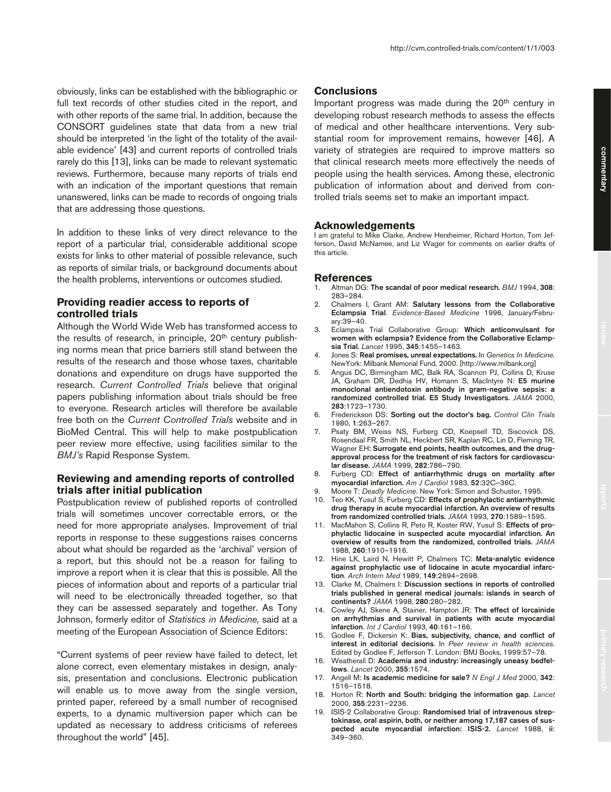obviously, links can be established with the bibliographic or full text records of other studies cited in the report, and with other reports of the same trial. In addition, because the CONSORT guidelines state that data from a new trial should be interpreted 'in the light of the totality of the available evidence' [43] and current reports of controlled trials rarely do this [13], links can be made to relevant systematic reviews. Furthermore, because many reports of trials end with an indication of the important questions that remain unanswered, links can be made to records of ongoing trials that are addressing those questions.

In addition to these links of very direct relevance to the report of a particular trial, considerable additional scope exists for links to other material of possible relevance, such as reports of similar trials, or background documents about the health problems, interventions or outcomes studied.

## **Providing readier access to reports of controlled trials**

Although the World Wide Web has transformed access to the results of research, in principle, 20<sup>th</sup> century publishing norms mean that price barriers still stand between the results of the research and those whose taxes, charitable donations and expenditure on drugs have supported the research. *Current Controlled Trials* believe that original papers publishing information about trials should be free to everyone. Research articles will therefore be available free both on the *Current Controlled Trials* website and in BioMed Central. This will help to make postpublication peer review more effective, using facilities similar to the *BMJ's* Rapid Response System.

## **Reviewing and amending reports of controlled trials after initial publication**

Postpublication review of published reports of controlled trials will sometimes uncover correctable errors, or the need for more appropriate analyses. Improvement of trial reports in response to these suggestions raises concerns about what should be regarded as the 'archival' version of a report, but this should not be a reason for failing to improve a report when it is clear that this is possible. All the pieces of information about and reports of a particular trial will need to be electronically threaded together, so that they can be assessed separately and together. As Tony Johnson, formerly editor of *Statistics in Medicine,* said at a meeting of the European Association of Science Editors:

"Current systems of peer review have failed to detect, let alone correct, even elementary mistakes in design, analysis, presentation and conclusions. Electronic publication will enable us to move away from the single version, printed paper, refereed by a small number of recognised experts, to a dynamic multiversion paper which can be updated as necessary to address criticisms of referees throughout the world" [45].

#### **Conclusions**

Important progress was made during the 20<sup>th</sup> century in developing robust research methods to assess the effects of medical and other healthcare interventions. Very substantial room for improvement remains, however [46]. A variety of strategies are required to improve matters so that clinical research meets more effectively the needs of people using the health services. Among these, electronic publication of information about and derived from controlled trials seems set to make an important impact.

#### **Acknowledgements**

I am grateful to Mike Clarke, Andrew Herxheimer, Richard Horton, Tom Jefferson, David McNamee, and Liz Wager for comments on earlier drafts of this article.

# **References**<br>1. Altman DG: 1

- 1. Altman DG: **The scandal of poor medical research.** *BMJ* 1994, **308**: 283–284.
- 2. Chalmers I, Grant AM: **Salutary lessons from the Collaborative Eclampsia Trial**. *Evidence-Based Medicine* 1996, January/February:39–40.
- 3. Eclampsia Trial Collaborative Group: **Which anticonvulsant for women with eclampsia? Evidence from the Collaborative Eclampsia Trial.** *Lancet* 1995, **345**:1455–1463.
- 4. Jones S: **Real promises, unreal expectations.** In *Genetics In Medicine.* NewYork: Milbank Memorial Fund, 2000. [http://www.milbank.org]
- 5. Angus DC, Birmingham MC, Balk RA, Scannon PJ, Collins D, Kruse JA, Graham DR, Dedhia HV, Homann S, MacIntyre N: **E5 murine monoclonal antiendotoxin antibody in gram-negative sepsis: a randomized controlled trial. E5 Study Investigators.** *JAMA* 2000, **283**:1723–1730.
- 6. Frederickson DS: **Sorting out the doctor's bag.** *Control Clin Trials* 1980, **1**:263–267.
- 7. Psaty BM, Weiss NS, Furberg CD, Koepsell TD, Siscovick DS, Rosendaal FR, Smith NL, Heckbert SR, Kaplan RC, Lin D, Fleming TR, Wagner EH**: Surrogate end points, health outcomes, and the drugapproval process for the treatment of risk factors for cardiovascular disease.** *JAMA* 1999, **282**:786–790.
- 8. Furberg CD: **Effect of antiarrhythmic drugs on mortality after myocardial infarction.** *Am J Cardiol* 1983, **52**:32C–36C.
- 9. Moore T: *Deadly Medicine*. New York: Simon and Schuster, 1995.
- 10. Teo KK, Yusuf S, Furberg CD: **Effects of prophylactic antiarrhythmic drug therapy in acute myocardial infarction. An overview of results from randomized controlled trials.** *JAMA* 1993, **270**:1589–1595.
- 11. MacMahon S, Collins R, Peto R, Koster RW, Yusuf S: **Effects of prophylactic lidocaine in suspected acute myocardial infarction. An overview of results from the randomized, controlled trials.** *JAMA* 1988, **260**:1910–1916.
- 12. Hine LK, Laird N, Hewitt P, Chalmers TC: **Meta-analytic evidence against prophylactic use of lidocaine in acute myocardial infarction**. *Arch Intern Med* 1989, **149**:2694–2698.
- 13. Clarke M, Chalmers I: **Discussion sections in reports of controlled trials published in general medical journals: islands in search of continents?** *JAMA* 1998, **280**:280–282.
- 14. Cowley AJ, Skene A, Stainer, Hampton JR: **The effect of lorcainide on arrhythmias and survival in patients with acute myocardial infarction***. Int J Cardiol* 1993, **40**:161–166.
- 15. Godlee F, Dickersin K: **Bias, subjectivity, chance, and conflict of interest in editorial decisions**. In *Peer review in health sciences.* Edited by Godlee F, Jefferson T. London: BMJ Books, 1999:57–78.
- 16. Weatherall D: **Academia and industry: increasingly uneasy bedfellows**. *Lancet* 2000, **355**:1574.
- 17. Angell M: **Is academic medicine for sale?** *N Engl J Med* 2000, **342**: 1516–1518.
- 18. Horton R: **North and South: bridging the information gap**. *Lancet* 2000, **355**:2231–2236.
- 19. ISIS-2 Collaborative Group: **Randomised trial of intravenous streptokinase, oral aspirin, both, or neither among 17,187 cases of suspected acute myocardial infarction: ISIS-2.** *Lancet* 1988, **ii**: 349–360.